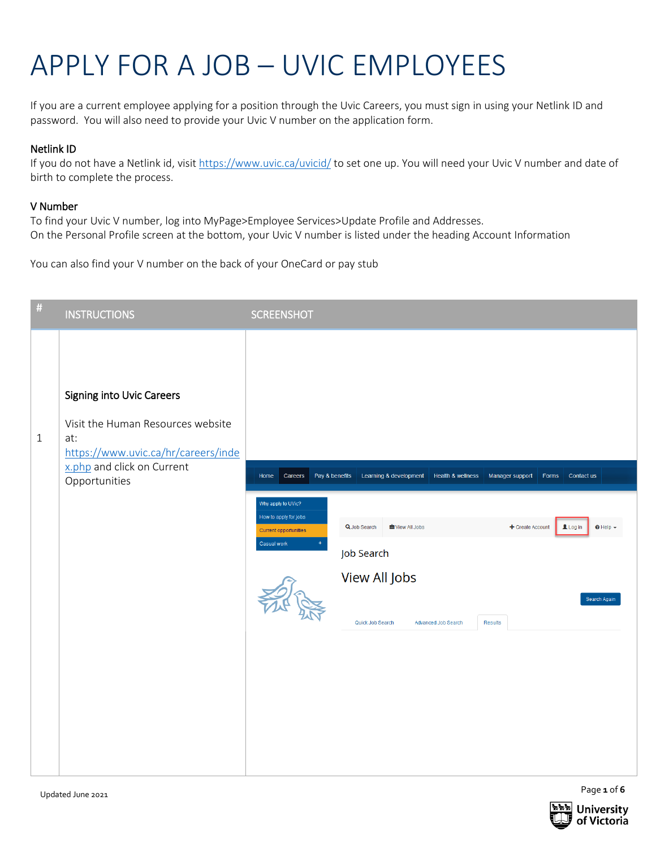## APPLY FOR A JOB – UVIC EMPLOYEES

If you are a current employee applying for a position through the Uvic Careers, you must sign in using your Netlink ID and password. You will also need to provide your Uvic V number on the application form.

## Netlink ID

If you do not have a Netlink id, visit<https://www.uvic.ca/uvicid/> to set one up. You will need your Uvic V number and date of birth to complete the process.

## V Number

To find your Uvic V number, log into MyPage>Employee Services>Update Profile and Addresses. On the Personal Profile screen at the bottom, your Uvic V number is listed under the heading Account Information

You can also find your V number on the back of your OneCard or pay stub

| $\#$         | <b>INSTRUCTIONS</b>                                                                                                                                                | <b>SCREENSHOT</b>                                                                                                                                                                                                                                                                             |
|--------------|--------------------------------------------------------------------------------------------------------------------------------------------------------------------|-----------------------------------------------------------------------------------------------------------------------------------------------------------------------------------------------------------------------------------------------------------------------------------------------|
| $\mathbf{1}$ | <b>Signing into Uvic Careers</b><br>Visit the Human Resources website<br>at:<br>https://www.uvic.ca/hr/careers/inde<br>x.php and click on Current<br>Opportunities | Careers<br>Pay & benefits<br>Learning & development<br>Health & wellness<br>Manager support<br>Forms<br>Contact us<br>Home                                                                                                                                                                    |
|              |                                                                                                                                                                    | Why apply to UVic?<br>How to apply for jobs<br>$\odot$ Help $\sim$<br>Q Job Search<br><b>■</b> View All Jobs<br>+ Create Account<br>Login<br><b>Current opportunities</b><br>Casual work<br>Job Search<br>View All Jobs<br>Search Again<br>Results<br>Quick Job Search<br>Advanced Job Search |



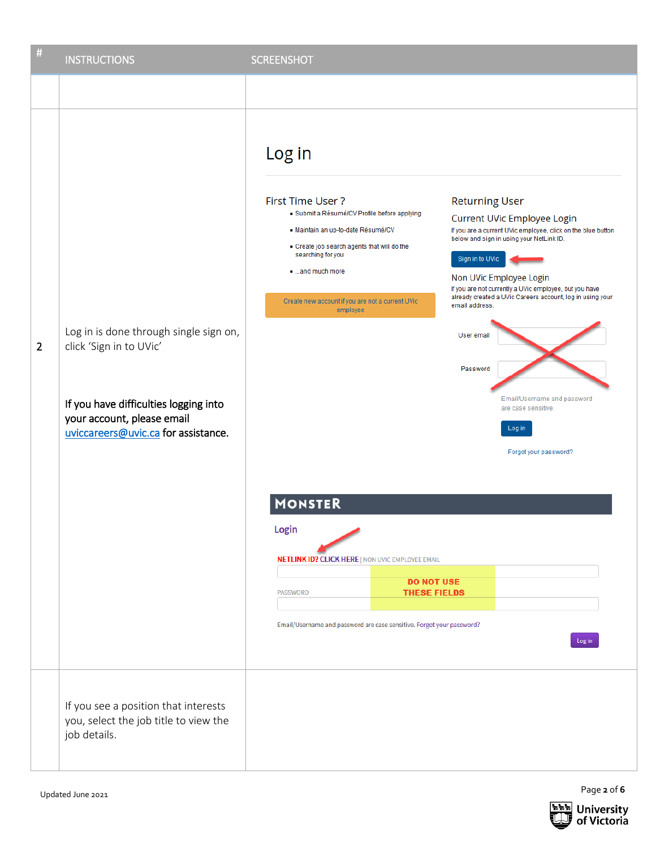| #              | <b>INSTRUCTIONS</b>                                                                                                                                                             | <b>SCREENSHOT</b>                                                                                                                                                                                                                                                                                                                                                                                                                                                                                                                                                                                                                                                                                                                                                                                                                                                                                                                                                                         |
|----------------|---------------------------------------------------------------------------------------------------------------------------------------------------------------------------------|-------------------------------------------------------------------------------------------------------------------------------------------------------------------------------------------------------------------------------------------------------------------------------------------------------------------------------------------------------------------------------------------------------------------------------------------------------------------------------------------------------------------------------------------------------------------------------------------------------------------------------------------------------------------------------------------------------------------------------------------------------------------------------------------------------------------------------------------------------------------------------------------------------------------------------------------------------------------------------------------|
|                |                                                                                                                                                                                 |                                                                                                                                                                                                                                                                                                                                                                                                                                                                                                                                                                                                                                                                                                                                                                                                                                                                                                                                                                                           |
| $\overline{2}$ | Log in is done through single sign on,<br>click 'Sign in to UVic'<br>If you have difficulties logging into<br>your account, please email<br>uviccareers@uvic.ca for assistance. | Log in<br>First Time User?<br><b>Returning User</b><br>· Submit a Résumé/CV Profile before applying<br>Current UVic Employee Login<br>· Maintain an up-to-date Résumé/CV<br>If you are a current UVic employee, click on the blue button<br>below and sign in using your NetLink ID.<br>Create job search agents that will do the<br>searching for you<br>Sign in to UVic<br>and much more<br>Non UVic Employee Login<br>If you are not currently a UVic employee, but you have<br>already created a UVic Careers account, log in using your<br>Create new account if you are not a current UVic<br>email address.<br>employee<br>User email<br>Password<br>Email/Username and password<br>are case sensitive.<br>Log in<br>Forgot your password?<br><b>MONSTER</b><br>Login<br><b>NETLINK ID? CLICK HERE   NON UVIC EMPLOYEE EMAIL</b><br><b>DO NOT USE</b><br><b>PASSWORD</b><br><b>THESE FIELDS</b><br>Email/Username and password are case sensitive. Forgot your password?<br>Log in |
|                | If you see a position that interests<br>you, select the job title to view the<br>job details.                                                                                   |                                                                                                                                                                                                                                                                                                                                                                                                                                                                                                                                                                                                                                                                                                                                                                                                                                                                                                                                                                                           |

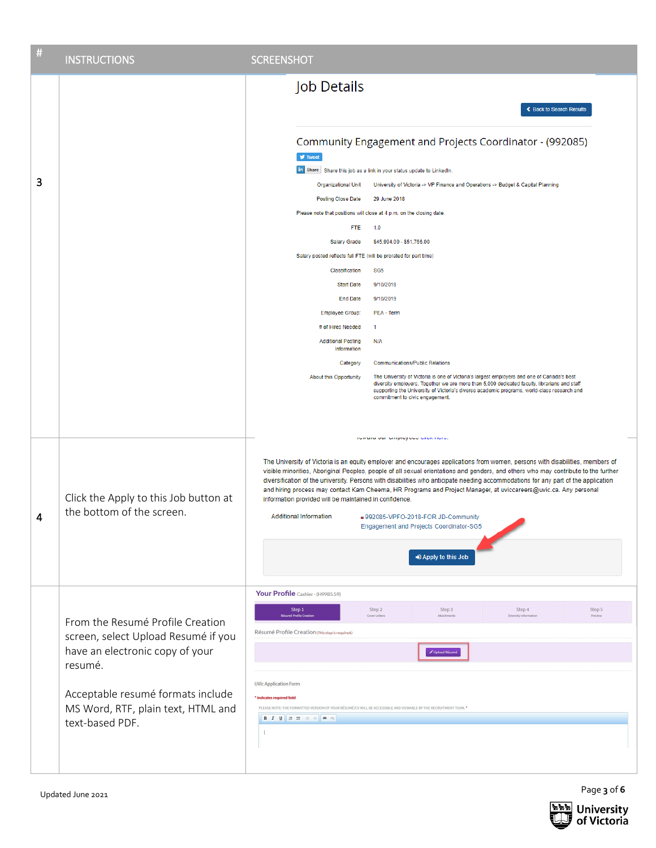| # | <b>INSTRUCTIONS</b>                                                                                                   | <b>SCREENSHOT</b>                                                                                                                                                                                                                                                                                                                                                                                                                                                                                                                                                                                                                                                                                                                                                   |
|---|-----------------------------------------------------------------------------------------------------------------------|---------------------------------------------------------------------------------------------------------------------------------------------------------------------------------------------------------------------------------------------------------------------------------------------------------------------------------------------------------------------------------------------------------------------------------------------------------------------------------------------------------------------------------------------------------------------------------------------------------------------------------------------------------------------------------------------------------------------------------------------------------------------|
|   |                                                                                                                       | Job Details<br>← Back to Search Results                                                                                                                                                                                                                                                                                                                                                                                                                                                                                                                                                                                                                                                                                                                             |
|   |                                                                                                                       | Community Engagement and Projects Coordinator - (992085)<br>$\blacktriangleright$ Tweet                                                                                                                                                                                                                                                                                                                                                                                                                                                                                                                                                                                                                                                                             |
| 3 |                                                                                                                       | in Share Share this job as a link in your status update to LinkedIn.<br>Organizational Unit<br>University of Victoria -> VP Finance and Operations -> Budget & Capital Planning                                                                                                                                                                                                                                                                                                                                                                                                                                                                                                                                                                                     |
|   |                                                                                                                       | <b>Posting Close Date</b><br>29 June 2018                                                                                                                                                                                                                                                                                                                                                                                                                                                                                                                                                                                                                                                                                                                           |
|   |                                                                                                                       | Please note that positions will close at 4 p.m. on the closing date.                                                                                                                                                                                                                                                                                                                                                                                                                                                                                                                                                                                                                                                                                                |
|   |                                                                                                                       | <b>FTE</b><br>1.0                                                                                                                                                                                                                                                                                                                                                                                                                                                                                                                                                                                                                                                                                                                                                   |
|   |                                                                                                                       | \$45,994.00 - \$51,766.00<br><b>Salary Grade</b>                                                                                                                                                                                                                                                                                                                                                                                                                                                                                                                                                                                                                                                                                                                    |
|   |                                                                                                                       | Salary posted reflects full FTE (will be prorated for part time)                                                                                                                                                                                                                                                                                                                                                                                                                                                                                                                                                                                                                                                                                                    |
|   |                                                                                                                       | Classification<br>SG <sub>5</sub>                                                                                                                                                                                                                                                                                                                                                                                                                                                                                                                                                                                                                                                                                                                                   |
|   |                                                                                                                       | 9/10/2018<br><b>Start Date</b>                                                                                                                                                                                                                                                                                                                                                                                                                                                                                                                                                                                                                                                                                                                                      |
|   |                                                                                                                       | <b>End Date</b><br>9/10/2019                                                                                                                                                                                                                                                                                                                                                                                                                                                                                                                                                                                                                                                                                                                                        |
|   |                                                                                                                       | <b>Employee Group:</b><br>PEA - Term                                                                                                                                                                                                                                                                                                                                                                                                                                                                                                                                                                                                                                                                                                                                |
|   |                                                                                                                       | # of Hires Needed<br>-1<br><b>Additional Posting</b><br>N/A                                                                                                                                                                                                                                                                                                                                                                                                                                                                                                                                                                                                                                                                                                         |
|   |                                                                                                                       | Information                                                                                                                                                                                                                                                                                                                                                                                                                                                                                                                                                                                                                                                                                                                                                         |
|   |                                                                                                                       | <b>Communications/Public Relations</b><br>Category                                                                                                                                                                                                                                                                                                                                                                                                                                                                                                                                                                                                                                                                                                                  |
|   |                                                                                                                       | The University of Victoria is one of Victoria's largest employers and one of Canada's best<br>About this Opportunity<br>diversity employers. Together we are more than 5,000 dedicated faculty, librarians and staff<br>supporting the University of Victoria's diverse academic programs, world-class research and<br>commitment to civic engagement.                                                                                                                                                                                                                                                                                                                                                                                                              |
| 4 | Click the Apply to this Job button at<br>the bottom of the screen.                                                    | roward oar omproyeed enemmere.<br>The University of Victoria is an equity employer and encourages applications from women, persons with disabilities, members of<br>visible minorities, Aboriginal Peoples, people of all sexual orientations and genders, and others who may contribute to the further<br>diversification of the university. Persons with disabilities who anticipate needing accommodations for any part of the application<br>and hiring process may contact Kam Cheema, HR Programs and Project Manager, at uviccareers@uvic.ca. Any personal<br>information provided will be maintained in confidence.<br><b>Additional Information</b><br>992085-VPFO-2018-FOR JD-Community<br>Engagement and Projects Coordinator-SG5<br>D Apply to this Job |
|   |                                                                                                                       |                                                                                                                                                                                                                                                                                                                                                                                                                                                                                                                                                                                                                                                                                                                                                                     |
|   |                                                                                                                       | Your Profile Cashier - (H9985.59)                                                                                                                                                                                                                                                                                                                                                                                                                                                                                                                                                                                                                                                                                                                                   |
|   | From the Resumé Profile Creation<br>screen, select Upload Resumé if you<br>have an electronic copy of your<br>resumé. | Step 1<br>Step 2<br>Step 3<br>Step 4<br>Step 5<br>Résumé Profile Creati<br>Cover Letters<br>Attachments<br>Diversity Informati<br>Preview<br>Résumé Profile Creation (This step is required.)                                                                                                                                                                                                                                                                                                                                                                                                                                                                                                                                                                       |
|   |                                                                                                                       | Upload Résumé                                                                                                                                                                                                                                                                                                                                                                                                                                                                                                                                                                                                                                                                                                                                                       |
|   | Acceptable resumé formats include<br>MS Word, RTF, plain text, HTML and<br>text-based PDF.                            | <b>UVic Application Form</b><br>* Indicates required field<br>PLEASE NOTE: THE FORMATTED VERSION OF YOUR RÉSUMÉ/CV WILL BE ACCESSIBLE AND VIEWABLE BY THE RECRUITMENT TEAM. *<br>$\overline{1}$                                                                                                                                                                                                                                                                                                                                                                                                                                                                                                                                                                     |

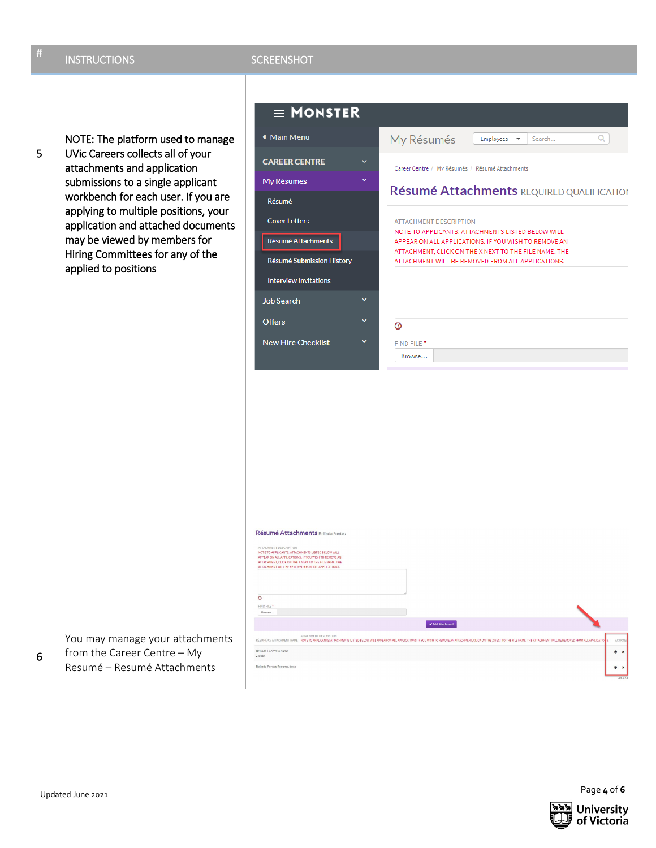| # | <b>INSTRUCTIONS</b>                                                                                                                                                                                                                                                                                                                                         | <b>SCREENSHOT</b>                                                                                                                                                                                                                                                                                                                                                                                                                                                                                                                                                                                                                                                                                                                                                                                                                                                                                                                                                                                                                                                            |
|---|-------------------------------------------------------------------------------------------------------------------------------------------------------------------------------------------------------------------------------------------------------------------------------------------------------------------------------------------------------------|------------------------------------------------------------------------------------------------------------------------------------------------------------------------------------------------------------------------------------------------------------------------------------------------------------------------------------------------------------------------------------------------------------------------------------------------------------------------------------------------------------------------------------------------------------------------------------------------------------------------------------------------------------------------------------------------------------------------------------------------------------------------------------------------------------------------------------------------------------------------------------------------------------------------------------------------------------------------------------------------------------------------------------------------------------------------------|
| 5 | NOTE: The platform used to manage<br>UVic Careers collects all of your<br>attachments and application<br>submissions to a single applicant<br>workbench for each user. If you are<br>applying to multiple positions, your<br>application and attached documents<br>may be viewed by members for<br>Hiring Committees for any of the<br>applied to positions | $\equiv$ MONSTER<br><b>◆ Main Menu</b><br>My Résumés<br>Q<br>Employees<br>Search<br>$\overline{\phantom{a}}$<br><b>CAREER CENTRE</b><br>v<br>Career Centre / My Résumés / Résumé Attachments<br>My Résumés<br>Résumé Attachments REQUIRED QUALIFICATION<br>Résumé<br><b>Cover Letters</b><br><b>ATTACHMENT DESCRIPTION</b><br>NOTE TO APPLICANTS: ATTACHMENTS LISTED BELOW WILL<br>Résumé Attachments<br>APPEAR ON ALL APPLICATIONS. IF YOU WISH TO REMOVE AN<br>ATTACHMENT, CLICK ON THE X NEXT TO THE FILE NAME. THE<br>Résumé Submission History<br>ATTACHMENT WILL BE REMOVED FROM ALL APPLICATIONS.<br><b>Interview Invitations</b><br><b>Job Search</b><br>$\checkmark$<br><b>Offers</b><br>$^{\circ}$<br><b>New Hire Checklist</b><br>×<br>FIND FILE <sup>*</sup><br>Browse<br>Résumé Attachments Belinda Fontes<br>ATTACHMENT DESCRIPTION<br>NOTE TO APPLICANTS: ATTACHMENTS LISTED BELOW WILL<br>APPEAR ON ALL APPLICATIONS. IF YOU WISH TO REMOVE AN<br>ATTACHMENT, CLICK ON THE X NEXT TO THE FILE NAME. THE<br>ATTACHMENT WILL BE REMOVED FROM ALL APPLICATIONS. |
| 6 | You may manage your attachments<br>from the Career Centre - My<br>Resumé – Resumé Attachments                                                                                                                                                                                                                                                               | $\circ$<br>FIND FILE *<br>Browse,<br>Add Attachment<br>ATTACHMENT DESCRIPTION<br>RESUME/CV ATTACHMENT NAME NOTE TO APPLICANTS: ATTACHMENTS LISTED BELOW WILL APPEAR ON ALL APPLICATIONS. IF YOU WISH TO REMOVE AN ATTACHMENT, CLICK ON THE X NEXT TO THE FILE NAME. THE ATTACHMENT WILL BE REMOVED FROM ALL APP<br>Belinda Fontes Resume<br>$\circ$ x<br>2.docx<br>Belinda Fontes Resume.docx<br>$\circ$ x<br>$rac{1}{\sqrt{16.17}}$                                                                                                                                                                                                                                                                                                                                                                                                                                                                                                                                                                                                                                         |

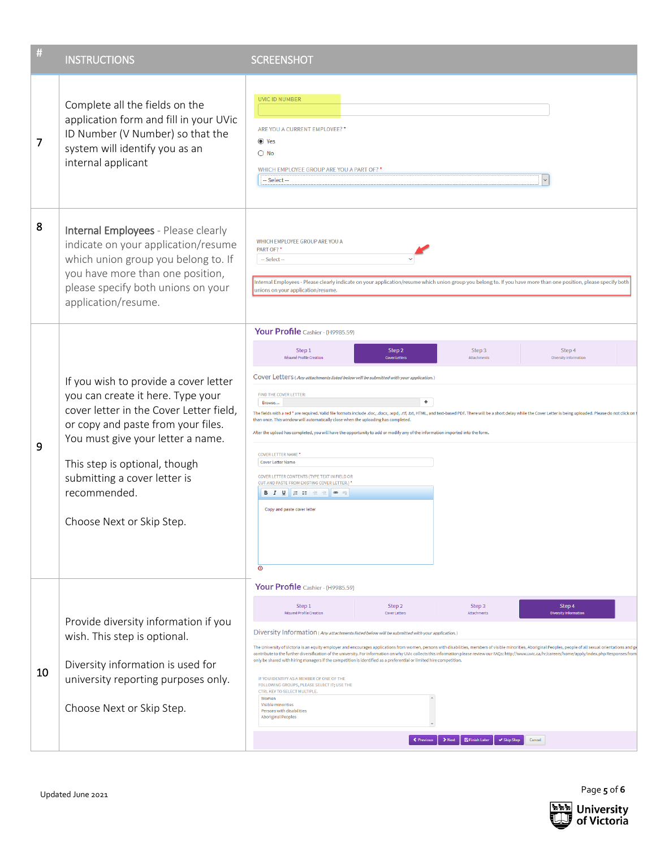| #  | <b>INSTRUCTIONS</b>                                                                                                                                                                                                                                                                                            | <b>SCREENSHOT</b>                                                                                                                                                                                                                                                                                                                                                                                                                                                                                                                                                                                                                                                                                                                                                                                                                                                                                                                                                                                                                                                                                                                                      |
|----|----------------------------------------------------------------------------------------------------------------------------------------------------------------------------------------------------------------------------------------------------------------------------------------------------------------|--------------------------------------------------------------------------------------------------------------------------------------------------------------------------------------------------------------------------------------------------------------------------------------------------------------------------------------------------------------------------------------------------------------------------------------------------------------------------------------------------------------------------------------------------------------------------------------------------------------------------------------------------------------------------------------------------------------------------------------------------------------------------------------------------------------------------------------------------------------------------------------------------------------------------------------------------------------------------------------------------------------------------------------------------------------------------------------------------------------------------------------------------------|
| 7  | Complete all the fields on the<br>application form and fill in your UVic<br>ID Number (V Number) so that the<br>system will identify you as an<br>internal applicant                                                                                                                                           | <b>UVIC ID NUMBER</b><br>ARE YOU A CURRENT EMPLOYEE? *<br><b>◎</b> Yes<br>$\bigcirc$ No<br>WHICH EMPLOYEE GROUP ARE YOU A PART OF? *<br>-- Select --                                                                                                                                                                                                                                                                                                                                                                                                                                                                                                                                                                                                                                                                                                                                                                                                                                                                                                                                                                                                   |
| 8  | Internal Employees - Please clearly<br>indicate on your application/resume<br>which union group you belong to. If<br>you have more than one position,<br>please specify both unions on your<br>application/resume.                                                                                             | WHICH EMPLOYEE GROUP ARE YOU A<br>PART OF?*<br>-- Select --<br>Internal Employees - Please clearly indicate on your application/resume which union group you belong to. If you have more than one position, please specify both<br>unions on your application/resume.                                                                                                                                                                                                                                                                                                                                                                                                                                                                                                                                                                                                                                                                                                                                                                                                                                                                                  |
| 9  | If you wish to provide a cover letter<br>you can create it here. Type your<br>cover letter in the Cover Letter field,<br>or copy and paste from your files.<br>You must give your letter a name.<br>This step is optional, though<br>submitting a cover letter is<br>recommended.<br>Choose Next or Skip Step. | Your Profile Cashier - (H9985.59)<br>Step 2<br>Step 3<br>Step 4<br>Step 1<br>Résumé Profile Creation<br>Attachments<br>Diversity Information<br><b>Cover Letten</b><br>COVET Letters (Any attachments listed below will be submitted with your application.)<br>FIND THE COVER LETTER:<br>٠<br>Browse<br>The fields with a red * are required. Valid file formats include .doc, .docx, .wpd, .rtf, .txt, HTML, and text-based PDF. There will be a short delay while the Cover Letter is being uploaded. Please do not click on t<br>than once. This window will automatically close when the uploading has completed.<br>After the upload has completed, you will have the opportunity to add or modify any of the information imported into the form.<br><b>COVER LETTER NAME*</b><br><b>Cover Letter Name</b><br>COVER LETTER CONTENTS (TYPE TEXT IN FIELD OR<br>CUT AND PASTE FROM EXISTING COVER LETTER.) *<br><b>B</b> $I$ <b>U</b> $\equiv$ $\equiv$ $\equiv$ $\equiv$ $\equiv$ $\equiv$ $\equiv$<br>Copy and paste cover letter<br>$\circledcirc$                                                                                              |
| 10 | Provide diversity information if you<br>wish. This step is optional.<br>Diversity information is used for<br>university reporting purposes only.<br>Choose Next or Skip Step.                                                                                                                                  | Your Profile Cashier - (H9985.59)<br>Step 2<br>Step 1<br>Step 3<br>Step 4<br>Résumé Profile Creation<br><b>Cover Letters</b><br><b>Diversity Informat</b><br>Attachments<br>Diversity Information (Any attachments listed below will be submitted with your application.)<br>The University of Victoria is an equity employer and encourages applications from women, persons with disabilities, members of visible minorities, Aboriginal Peoples, people of all sexual orientations and ge<br>contribute to the further diversification of the university. For information on why UVic collects this information please review our FAQs: http://www.uvic.ca/hr/careers/home/apply/index.php Responses from<br>only be shared with hiring managers if the competition is identified as a preferential or limited hire competition.<br>IF YOU IDENTIFY AS A MEMBER OF ONE OF THE<br>FOLLOWING GROUPS, PLEASE SELECT IT; USE THE<br>CTRL KEY TO SELECT MULTIPLE.<br>Women<br>Visible minorities<br>Persons with disabilities<br><b>Aboriginal Peoples</b><br>← Previous<br><b>图 Finish Later</b><br>✔ Skip Step<br>Cancel<br>$\blacktriangleright$ Next |